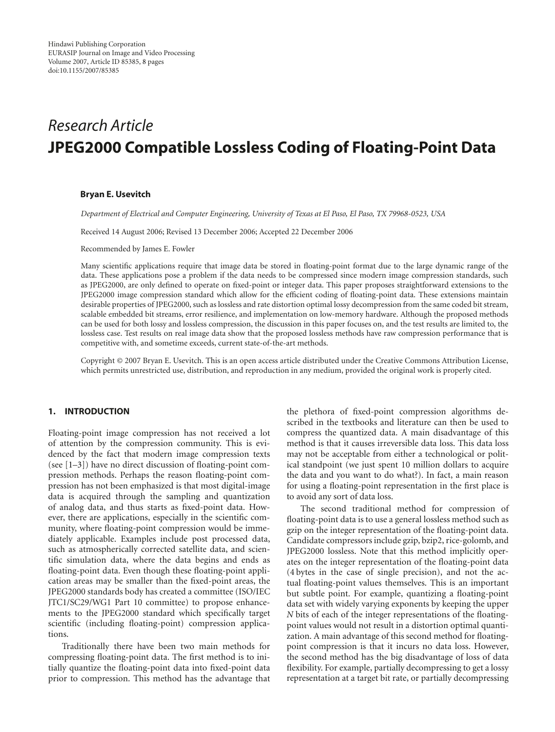# *Research Article* **JPEG2000 Compatible Lossless Coding of Floating-Point Data**

#### **Bryan E. Usevitch**

*Department of Electrical and Computer Engineering, University of Texas at El Paso, El Paso, TX 79968-0523, USA*

Received 14 August 2006; Revised 13 December 2006; Accepted 22 December 2006

Recommended by James E. Fowler

Many scientific applications require that image data be stored in floating-point format due to the large dynamic range of the data. These applications pose a problem if the data needs to be compressed since modern image compression standards, such as JPEG2000, are only defined to operate on fixed-point or integer data. This paper proposes straightforward extensions to the JPEG2000 image compression standard which allow for the efficient coding of floating-point data. These extensions maintain desirable properties of JPEG2000, such as lossless and rate distortion optimal lossy decompression from the same coded bit stream, scalable embedded bit streams, error resilience, and implementation on low-memory hardware. Although the proposed methods can be used for both lossy and lossless compression, the discussion in this paper focuses on, and the test results are limited to, the lossless case. Test results on real image data show that the proposed lossless methods have raw compression performance that is competitive with, and sometime exceeds, current state-of-the-art methods.

Copyright © 2007 Bryan E. Usevitch. This is an open access article distributed under the Creative Commons Attribution License, which permits unrestricted use, distribution, and reproduction in any medium, provided the original work is properly cited.

# **1. INTRODUCTION**

Floating-point image compression has not received a lot of attention by the compression community. This is evidenced by the fact that modern image compression texts (see [\[1](#page-7-1)[–3\]](#page-7-2)) have no direct discussion of floating-point compression methods. Perhaps the reason floating-point compression has not been emphasized is that most digital-image data is acquired through the sampling and quantization of analog data, and thus starts as fixed-point data. However, there are applications, especially in the scientific community, where floating-point compression would be immediately applicable. Examples include post processed data, such as atmospherically corrected satellite data, and scientific simulation data, where the data begins and ends as floating-point data. Even though these floating-point application areas may be smaller than the fixed-point areas, the JPEG2000 standards body has created a committee (ISO/IEC JTC1/SC29/WG1 Part 10 committee) to propose enhancements to the JPEG2000 standard which specifically target scientific (including floating-point) compression applications.

Traditionally there have been two main methods for compressing floating-point data. The first method is to initially quantize the floating-point data into fixed-point data prior to compression. This method has the advantage that

the plethora of fixed-point compression algorithms described in the textbooks and literature can then be used to compress the quantized data. A main disadvantage of this method is that it causes irreversible data loss. This data loss may not be acceptable from either a technological or political standpoint (we just spent 10 million dollars to acquire the data and you want to do what?). In fact, a main reason for using a floating-point representation in the first place is to avoid any sort of data loss.

The second traditional method for compression of floating-point data is to use a general lossless method such as gzip on the integer representation of the floating-point data. Candidate compressors include gzip, bzip2, rice-golomb, and JPEG2000 lossless. Note that this method implicitly operates on the integer representation of the floating-point data (4 bytes in the case of single precision), and not the actual floating-point values themselves. This is an important but subtle point. For example, quantizing a floating-point data set with widely varying exponents by keeping the upper *N* bits of each of the integer representations of the floatingpoint values would not result in a distortion optimal quantization. A main advantage of this second method for floatingpoint compression is that it incurs no data loss. However, the second method has the big disadvantage of loss of data flexibility. For example, partially decompressing to get a lossy representation at a target bit rate, or partially decompressing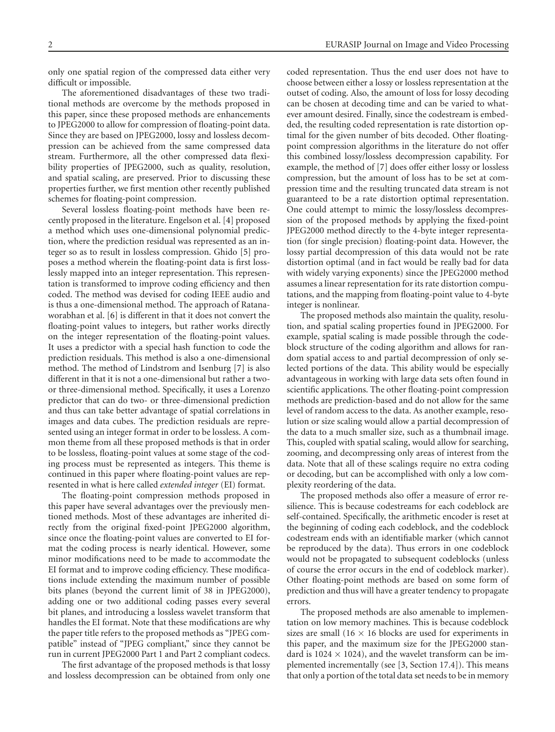only one spatial region of the compressed data either very difficult or impossible.

The aforementioned disadvantages of these two traditional methods are overcome by the methods proposed in this paper, since these proposed methods are enhancements to JPEG2000 to allow for compression of floating-point data. Since they are based on JPEG2000, lossy and lossless decompression can be achieved from the same compressed data stream. Furthermore, all the other compressed data flexibility properties of JPEG2000, such as quality, resolution, and spatial scaling, are preserved. Prior to discussing these properties further, we first mention other recently published schemes for floating-point compression.

Several lossless floating-point methods have been recently proposed in the literature. Engelson et al. [\[4](#page-7-3)] proposed a method which uses one-dimensional polynomial prediction, where the prediction residual was represented as an integer so as to result in lossless compression. Ghido [\[5](#page-7-4)] proposes a method wherein the floating-point data is first losslessly mapped into an integer representation. This representation is transformed to improve coding efficiency and then coded. The method was devised for coding IEEE audio and is thus a one-dimensional method. The approach of Ratanaworabhan et al. [\[6](#page-7-5)] is different in that it does not convert the floating-point values to integers, but rather works directly on the integer representation of the floating-point values. It uses a predictor with a special hash function to code the prediction residuals. This method is also a one-dimensional method. The method of Lindstrom and Isenburg [\[7](#page-7-6)] is also different in that it is not a one-dimensional but rather a twoor three-dimensional method. Specifically, it uses a Lorenzo predictor that can do two- or three-dimensional prediction and thus can take better advantage of spatial correlations in images and data cubes. The prediction residuals are represented using an integer format in order to be lossless. A common theme from all these proposed methods is that in order to be lossless, floating-point values at some stage of the coding process must be represented as integers. This theme is continued in this paper where floating-point values are represented in what is here called *extended integer* (EI) format.

The floating-point compression methods proposed in this paper have several advantages over the previously mentioned methods. Most of these advantages are inherited directly from the original fixed-point JPEG2000 algorithm, since once the floating-point values are converted to EI format the coding process is nearly identical. However, some minor modifications need to be made to accommodate the EI format and to improve coding efficiency. These modifications include extending the maximum number of possible bits planes (beyond the current limit of 38 in JPEG2000), adding one or two additional coding passes every several bit planes, and introducing a lossless wavelet transform that handles the EI format. Note that these modifications are why the paper title refers to the proposed methods as "JPEG compatible" instead of "JPEG compliant," since they cannot be run in current JPEG2000 Part 1 and Part 2 compliant codecs.

The first advantage of the proposed methods is that lossy and lossless decompression can be obtained from only one

coded representation. Thus the end user does not have to choose between either a lossy or lossless representation at the outset of coding. Also, the amount of loss for lossy decoding can be chosen at decoding time and can be varied to whatever amount desired. Finally, since the codestream is embedded, the resulting coded representation is rate distortion optimal for the given number of bits decoded. Other floatingpoint compression algorithms in the literature do not offer this combined lossy/lossless decompression capability. For example, the method of [\[7\]](#page-7-6) does offer either lossy or lossless compression, but the amount of loss has to be set at compression time and the resulting truncated data stream is not guaranteed to be a rate distortion optimal representation. One could attempt to mimic the lossy/lossless decompression of the proposed methods by applying the fixed-point JPEG2000 method directly to the 4-byte integer representation (for single precision) floating-point data. However, the lossy partial decompression of this data would not be rate distortion optimal (and in fact would be really bad for data with widely varying exponents) since the JPEG2000 method assumes a linear representation for its rate distortion computations, and the mapping from floating-point value to 4-byte integer is nonlinear.

The proposed methods also maintain the quality, resolution, and spatial scaling properties found in JPEG2000. For example, spatial scaling is made possible through the codeblock structure of the coding algorithm and allows for random spatial access to and partial decompression of only selected portions of the data. This ability would be especially advantageous in working with large data sets often found in scientific applications. The other floating-point compression methods are prediction-based and do not allow for the same level of random access to the data. As another example, resolution or size scaling would allow a partial decompression of the data to a much smaller size, such as a thumbnail image. This, coupled with spatial scaling, would allow for searching, zooming, and decompressing only areas of interest from the data. Note that all of these scalings require no extra coding or decoding, but can be accomplished with only a low complexity reordering of the data.

The proposed methods also offer a measure of error resilience. This is because codestreams for each codeblock are self-contained. Specifically, the arithmetic encoder is reset at the beginning of coding each codeblock, and the codeblock codestream ends with an identifiable marker (which cannot be reproduced by the data). Thus errors in one codeblock would not be propagated to subsequent codeblocks (unless of course the error occurs in the end of codeblock marker). Other floating-point methods are based on some form of prediction and thus will have a greater tendency to propagate errors.

The proposed methods are also amenable to implementation on low memory machines. This is because codeblock sizes are small (16  $\times$  16 blocks are used for experiments in this paper, and the maximum size for the JPEG2000 standard is 1024  $\times$  1024), and the wavelet transform can be implemented incrementally (see [\[3,](#page-7-2) Section 17.4]). This means that only a portion of the total data set needs to be in memory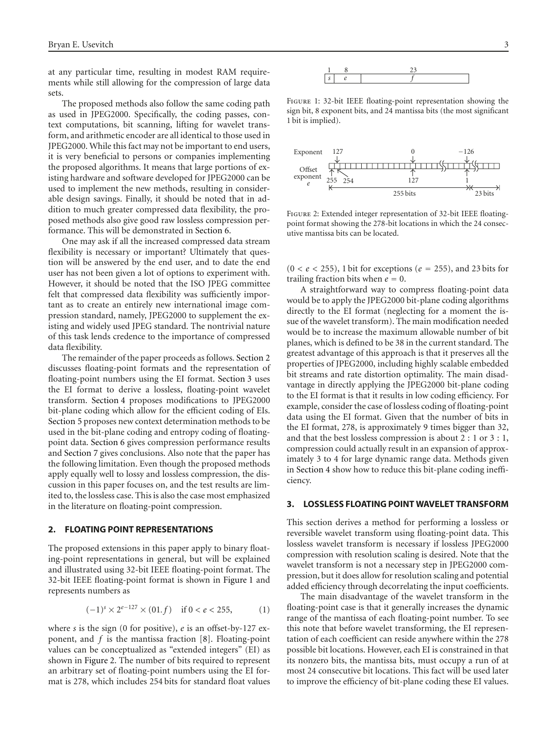at any particular time, resulting in modest RAM requirements while still allowing for the compression of large data sets.

The proposed methods also follow the same coding path as used in JPEG2000. Specifically, the coding passes, context computations, bit scanning, lifting for wavelet transform, and arithmetic encoder are all identical to those used in JPEG2000. While this fact may not be important to end users, it is very beneficial to persons or companies implementing the proposed algorithms. It means that large portions of existing hardware and software developed for JPEG2000 can be used to implement the new methods, resulting in considerable design savings. Finally, it should be noted that in addition to much greater compressed data flexibility, the proposed methods also give good raw lossless compression performance. This will be demonstrated in [Section 6.](#page-5-0)

One may ask if all the increased compressed data stream flexibility is necessary or important? Ultimately that question will be answered by the end user, and to date the end user has not been given a lot of options to experiment with. However, it should be noted that the ISO JPEG committee felt that compressed data flexibility was sufficiently important as to create an entirely new international image compression standard, namely, JPEG2000 to supplement the existing and widely used JPEG standard. The nontrivial nature of this task lends credence to the importance of compressed data flexibility.

The remainder of the paper proceeds as follows. [Section 2](#page-2-0) discusses floating-point formats and the representation of floating-point numbers using the EI format. [Section 3](#page-2-1) uses the EI format to derive a lossless, floating-point wavelet transform. [Section 4](#page-3-0) proposes modifications to JPEG2000 bit-plane coding which allow for the efficient coding of EIs. [Section 5](#page-4-0) proposes new context determination methods to be used in the bit-plane coding and entropy coding of floatingpoint data. [Section 6](#page-5-0) gives compression performance results and [Section 7](#page-7-7) gives conclusions. Also note that the paper has the following limitation. Even though the proposed methods apply equally well to lossy and lossless compression, the discussion in this paper focuses on, and the test results are limited to, the lossless case. This is also the case most emphasized in the literature on floating-point compression.

#### <span id="page-2-0"></span>**2. FLOATING POINT REPRESENTATIONS**

The proposed extensions in this paper apply to binary floating-point representations in general, but will be explained and illustrated using 32-bit IEEE floating-point format. The 32-bit IEEE floating-point format is shown in [Figure 1](#page-2-2) and represents numbers as

$$
(-1)^s \times 2^{e-127} \times (01.f) \quad \text{if } 0 < e < 255,\tag{1}
$$

where *s* is the sign (0 for positive), *e* is an offset-by-127 exponent, and *f* is the mantissa fraction [\[8](#page-7-8)]. Floating-point values can be conceptualized as "extended integers" (EI) as shown in [Figure 2.](#page-2-3) The number of bits required to represent an arbitrary set of floating-point numbers using the EI format is 278, which includes 254 bits for standard float values



<span id="page-2-2"></span>FIGURE 1: 32-bit IEEE floating-point representation showing the sign bit, 8 exponent bits, and 24 mantissa bits (the most significant 1 bit is implied).



<span id="page-2-3"></span>Figure 2: Extended integer representation of 32-bit IEEE floatingpoint format showing the 278-bit locations in which the 24 consecutive mantissa bits can be located.

(0 *<e<* 255), 1 bit for exceptions (*<sup>e</sup>* <sup>=</sup> 255), and 23 bits for trailing fraction bits when  $e = 0$ .

A straightforward way to compress floating-point data would be to apply the JPEG2000 bit-plane coding algorithms directly to the EI format (neglecting for a moment the issue of the wavelet transform). The main modification needed would be to increase the maximum allowable number of bit planes, which is defined to be 38 in the current standard. The greatest advantage of this approach is that it preserves all the properties of JPEG2000, including highly scalable embedded bit streams and rate distortion optimality. The main disadvantage in directly applying the JPEG2000 bit-plane coding to the EI format is that it results in low coding efficiency. For example, consider the case of lossless coding of floating-point data using the EI format. Given that the number of bits in the EI format, 278, is approximately 9 times bigger than 32, and that the best lossless compression is about 2 : 1 or 3 : 1, compression could actually result in an expansion of approximately 3 to 4 for large dynamic range data. Methods given in [Section 4](#page-3-0) show how to reduce this bit-plane coding inefficiency.

#### <span id="page-2-1"></span>**3. LOSSLESS FLOATING POINT WAVELET TRANSFORM**

This section derives a method for performing a lossless or reversible wavelet transform using floating-point data. This lossless wavelet transform is necessary if lossless JPEG2000 compression with resolution scaling is desired. Note that the wavelet transform is not a necessary step in JPEG2000 compression, but it does allow for resolution scaling and potential added efficiency through decorrelating the input coefficients.

The main disadvantage of the wavelet transform in the floating-point case is that it generally increases the dynamic range of the mantissa of each floating-point number. To see this note that before wavelet transforming, the EI representation of each coefficient can reside anywhere within the 278 possible bit locations. However, each EI is constrained in that its nonzero bits, the mantissa bits, must occupy a run of at most 24 consecutive bit locations. This fact will be used later to improve the efficiency of bit-plane coding these EI values.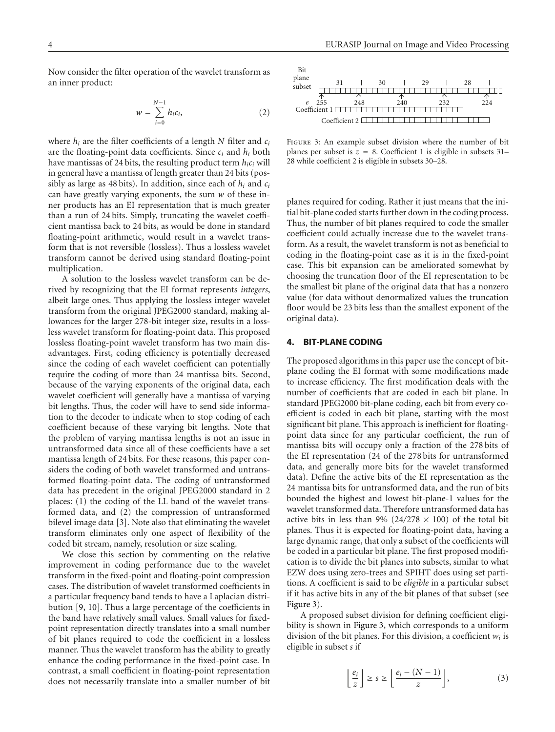Now consider the filter operation of the wavelet transform as an inner product:

$$
w = \sum_{i=0}^{N-1} h_i c_i,
$$
 (2)

where *hi* are the filter coefficients of a length *N* filter and *ci* are the floating-point data coefficients. Since *ci* and *hi* both have mantissas of 24 bits, the resulting product term *hici* will in general have a mantissa of length greater than 24 bits (possibly as large as 48 bits). In addition, since each of *hi* and *ci* can have greatly varying exponents, the sum *w* of these inner products has an EI representation that is much greater than a run of 24 bits. Simply, truncating the wavelet coefficient mantissa back to 24 bits, as would be done in standard floating-point arithmetic, would result in a wavelet transform that is not reversible (lossless). Thus a lossless wavelet transform cannot be derived using standard floating-point multiplication.

A solution to the lossless wavelet transform can be derived by recognizing that the EI format represents *integers*, albeit large ones. Thus applying the lossless integer wavelet transform from the original JPEG2000 standard, making allowances for the larger 278-bit integer size, results in a lossless wavelet transform for floating-point data. This proposed lossless floating-point wavelet transform has two main disadvantages. First, coding efficiency is potentially decreased since the coding of each wavelet coefficient can potentially require the coding of more than 24 mantissa bits. Second, because of the varying exponents of the original data, each wavelet coefficient will generally have a mantissa of varying bit lengths. Thus, the coder will have to send side information to the decoder to indicate when to stop coding of each coefficient because of these varying bit lengths. Note that the problem of varying mantissa lengths is not an issue in untransformed data since all of these coefficients have a set mantissa length of 24 bits. For these reasons, this paper considers the coding of both wavelet transformed and untransformed floating-point data. The coding of untransformed data has precedent in the original JPEG2000 standard in 2 places: (1) the coding of the LL band of the wavelet transformed data, and (2) the compression of untransformed bilevel image data [\[3\]](#page-7-2). Note also that eliminating the wavelet transform eliminates only one aspect of flexibility of the coded bit stream, namely, resolution or size scaling.

We close this section by commenting on the relative improvement in coding performance due to the wavelet transform in the fixed-point and floating-point compression cases. The distribution of wavelet transformed coefficients in a particular frequency band tends to have a Laplacian distribution [\[9](#page-7-9), [10\]](#page-7-10). Thus a large percentage of the coefficients in the band have relatively small values. Small values for fixedpoint representation directly translates into a small number of bit planes required to code the coefficient in a lossless manner. Thus the wavelet transform has the ability to greatly enhance the coding performance in the fixed-point case. In contrast, a small coefficient in floating-point representation does not necessarily translate into a smaller number of bit



<span id="page-3-1"></span>FIGURE 3: An example subset division where the number of bit planes per subset is  $z = 8$ . Coefficient 1 is eligible in subsets 31– 28 while coefficient 2 is eligible in subsets 30–28.

planes required for coding. Rather it just means that the initial bit-plane coded starts further down in the coding process. Thus, the number of bit planes required to code the smaller coefficient could actually increase due to the wavelet transform. As a result, the wavelet transform is not as beneficial to coding in the floating-point case as it is in the fixed-point case. This bit expansion can be ameliorated somewhat by choosing the truncation floor of the EI representation to be the smallest bit plane of the original data that has a nonzero value (for data without denormalized values the truncation floor would be 23 bits less than the smallest exponent of the original data).

#### <span id="page-3-0"></span>**4. BIT-PLANE CODING**

The proposed algorithms in this paper use the concept of bitplane coding the EI format with some modifications made to increase efficiency. The first modification deals with the number of coefficients that are coded in each bit plane. In standard JPEG2000 bit-plane coding, each bit from every coefficient is coded in each bit plane, starting with the most significant bit plane. This approach is inefficient for floatingpoint data since for any particular coefficient, the run of mantissa bits will occupy only a fraction of the 278 bits of the EI representation (24 of the 278 bits for untransformed data, and generally more bits for the wavelet transformed data). Define the active bits of the EI representation as the 24 mantissa bits for untransformed data, and the run of bits bounded the highest and lowest bit-plane-1 values for the wavelet transformed data. Therefore untransformed data has active bits in less than 9% ( $24/278 \times 100$ ) of the total bit planes. Thus it is expected for floating-point data, having a large dynamic range, that only a subset of the coefficients will be coded in a particular bit plane. The first proposed modification is to divide the bit planes into subsets, similar to what EZW does using zero-trees and SPIHT does using set partitions. A coefficient is said to be *eligible* in a particular subset if it has active bits in any of the bit planes of that subset (see [Figure 3\)](#page-3-1).

A proposed subset division for defining coefficient eligibility is shown in [Figure 3,](#page-3-1) which corresponds to a uniform division of the bit planes. For this division, a coefficient *wi* is eligible in subset *s* if

$$
\left\lfloor \frac{e_i}{z} \right\rfloor \ge s \ge \left\lfloor \frac{e_i - (N - 1)}{z} \right\rfloor, \tag{3}
$$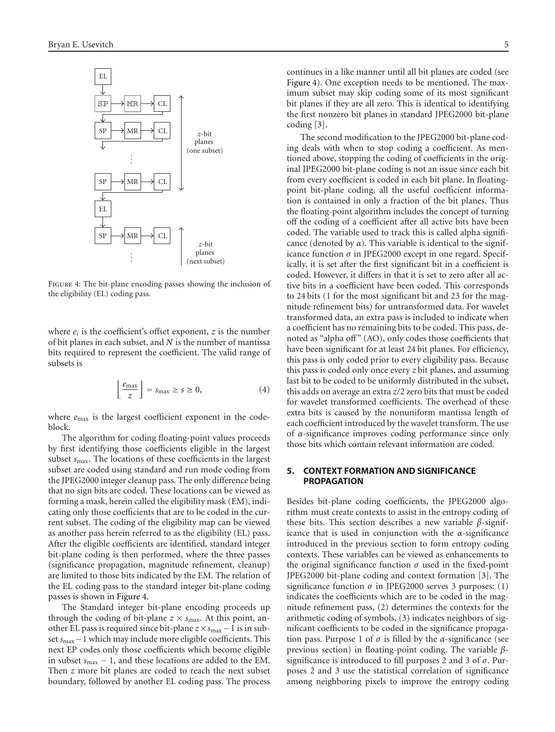

<span id="page-4-1"></span>Figure 4: The bit-plane encoding passes showing the inclusion of the eligibility (EL) coding pass.

where  $e_i$  is the coefficient's offset exponent,  $z$  is the number of bit planes in each subset, and *N* is the number of mantissa bits required to represent the coefficient. The valid range of subsets is

$$
\left\lfloor \frac{e_{\max}}{z} \right\rfloor = s_{\max} \ge s \ge 0,
$$
\n(4)

where  $e_{\text{max}}$  is the largest coefficient exponent in the codeblock.

The algorithm for coding floating-point values proceeds by first identifying those coefficients eligible in the largest subset *s*max. The locations of these coefficients in the largest subset are coded using standard and run mode coding from the JPEG2000 integer cleanup pass. The only difference being that no sign bits are coded. These locations can be viewed as forming a mask, herein called the eligibility mask (EM), indicating only those coefficients that are to be coded in the current subset. The coding of the eligibility map can be viewed as another pass herein referred to as the eligibility (EL) pass. After the eligible coefficients are identified, standard integer bit-plane coding is then performed, where the three passes (significance propagation, magnitude refinement, cleanup) are limited to those bits indicated by the EM. The relation of the EL coding pass to the standard integer bit-plane coding passes is shown in [Figure 4.](#page-4-1)

The Standard integer bit-plane encoding proceeds up through the coding of bit-plane  $z \times s_{\text{max}}$ . At this point, another EL pass is required since bit-plane *<sup>z</sup>*×*s*max <sup>−</sup>1 is in subset *<sup>s</sup>*max−1 which may include more eligible coefficients. This next EP codes only those coefficients which become eligible in subset *<sup>s</sup>*max <sup>−</sup> 1, and these locations are added to the EM. Then *z* more bit planes are coded to reach the next subset boundary, followed by another EL coding pass. The process

continues in a like manner until all bit planes are coded (see [Figure 4\)](#page-4-1). One exception needs to be mentioned. The maximum subset may skip coding some of its most significant bit planes if they are all zero. This is identical to identifying the first nonzero bit planes in standard JPEG2000 bit-plane coding [\[3\]](#page-7-2).

The second modification to the JPEG2000 bit-plane coding deals with when to stop coding a coefficient. As mentioned above, stopping the coding of coefficients in the original JPEG2000 bit-plane coding is not an issue since each bit from every coefficient is coded in each bit plane. In floatingpoint bit-plane coding, all the useful coefficient information is contained in only a fraction of the bit planes. Thus the floating-point algorithm includes the concept of turning off the coding of a coefficient after all active bits have been coded. The variable used to track this is called alpha significance (denoted by  $\alpha$ ). This variable is identical to the significance function *σ* in JPEG2000 except in one regard. Specifically, it is set after the first significant bit in a coefficient is coded. However, it differs in that it is set to zero after all active bits in a coefficient have been coded. This corresponds to 24 bits (1 for the most significant bit and 23 for the magnitude refinement bits) for untransformed data. For wavelet transformed data, an extra pass is included to indicate when a coefficient has no remaining bits to be coded. This pass, denoted as "alpha off" (AO), only codes those coefficients that have been significant for at least 24 bit planes. For efficiency, this pass is only coded prior to every eligibility pass. Because this pass is coded only once every *z* bit planes, and assuming last bit to be coded to be uniformly distributed in the subset, this adds on average an extra *z/*2 zero bits that must be coded for wavelet transformed coefficients. The overhead of these extra bits is caused by the nonuniform mantissa length of each coefficient introduced by the wavelet transform. The use of *α*-significance improves coding performance since only those bits which contain relevant information are coded.

#### <span id="page-4-0"></span>**5. CONTEXT FORMATION AND SIGNIFICANCE PROPAGATION**

Besides bit-plane coding coefficients, the JPEG2000 algorithm must create contexts to assist in the entropy coding of these bits. This section describes a new variable *β*-significance that is used in conjunction with the *α*-significance introduced in the previous section to form entropy coding contexts. These variables can be viewed as enhancements to the original significance function  $\sigma$  used in the fixed-point JPEG2000 bit-plane coding and context formation [\[3\]](#page-7-2). The significance function  $\sigma$  in JPEG2000 serves 3 purposes: (1) indicates the coefficients which are to be coded in the magnitude refinement pass, (2) determines the contexts for the arithmetic coding of symbols, (3) indicates neighbors of significant coefficients to be coded in the significance propagation pass. Purpose 1 of  $σ$  is filled by the  $α$ -significance (see previous section) in floating-point coding. The variable *β*significance is introduced to fill purposes 2 and 3 of *σ*. Purposes 2 and 3 use the statistical correlation of significance among neighboring pixels to improve the entropy coding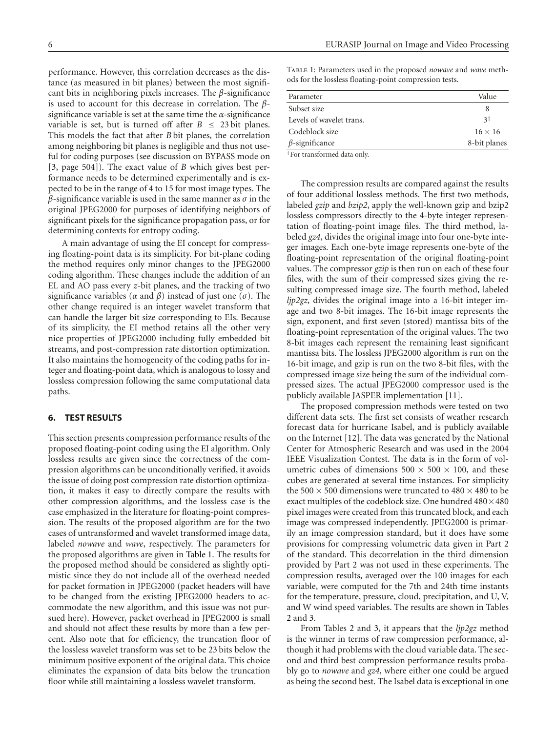performance. However, this correlation decreases as the distance (as measured in bit planes) between the most significant bits in neighboring pixels increases. The *β*-significance is used to account for this decrease in correlation. The *β*significance variable is set at the same time the *α*-significance variable is set, but is turned off after  $B \leq 23$  bit planes. This models the fact that after *B* bit planes, the correlation among neighboring bit planes is negligible and thus not useful for coding purposes (see discussion on BYPASS mode on [\[3,](#page-7-2) page 504]). The exact value of *B* which gives best performance needs to be determined experimentally and is expected to be in the range of 4 to 15 for most image types. The *β*-significance variable is used in the same manner as *σ* in the original JPEG2000 for purposes of identifying neighbors of significant pixels for the significance propagation pass, or for determining contexts for entropy coding.

A main advantage of using the EI concept for compressing floating-point data is its simplicity. For bit-plane coding the method requires only minor changes to the JPEG2000 coding algorithm. These changes include the addition of an EL and AO pass every *z*-bit planes, and the tracking of two significance variables ( $\alpha$  and  $\beta$ ) instead of just one ( $\sigma$ ). The other change required is an integer wavelet transform that can handle the larger bit size corresponding to EIs. Because of its simplicity, the EI method retains all the other very nice properties of JPEG2000 including fully embedded bit streams, and post-compression rate distortion optimization. It also maintains the homogeneity of the coding paths for integer and floating-point data, which is analogous to lossy and lossless compression following the same computational data paths.

# <span id="page-5-0"></span>**6. TEST RESULTS**

This section presents compression performance results of the proposed floating-point coding using the EI algorithm. Only lossless results are given since the correctness of the compression algorithms can be unconditionally verified, it avoids the issue of doing post compression rate distortion optimization, it makes it easy to directly compare the results with other compression algorithms, and the lossless case is the case emphasized in the literature for floating-point compression. The results of the proposed algorithm are for the two cases of untransformed and wavelet transformed image data, labeled *nowave* and *wave*, respectively. The parameters for the proposed algorithms are given in [Table 1.](#page-5-1) The results for the proposed method should be considered as slightly optimistic since they do not include all of the overhead needed for packet formation in JPEG2000 (packet headers will have to be changed from the existing JPEG2000 headers to accommodate the new algorithm, and this issue was not pursued here). However, packet overhead in JPEG2000 is small and should not affect these results by more than a few percent. Also note that for efficiency, the truncation floor of the lossless wavelet transform was set to be 23 bits below the minimum positive exponent of the original data. This choice eliminates the expansion of data bits below the truncation floor while still maintaining a lossless wavelet transform.

<span id="page-5-1"></span>Table 1: Parameters used in the proposed *nowave* and *wave* methods for the lossless floating-point compression tests.

| Parameter                                                                                                                                                                                                                                                                                                                                                                                                                                                                            | Value          |
|--------------------------------------------------------------------------------------------------------------------------------------------------------------------------------------------------------------------------------------------------------------------------------------------------------------------------------------------------------------------------------------------------------------------------------------------------------------------------------------|----------------|
| Subset size                                                                                                                                                                                                                                                                                                                                                                                                                                                                          |                |
| Levels of wavelet trans.                                                                                                                                                                                                                                                                                                                                                                                                                                                             | 3 <sup>†</sup> |
| Codeblock size                                                                                                                                                                                                                                                                                                                                                                                                                                                                       | $16 \times 16$ |
| $\beta$ -significance                                                                                                                                                                                                                                                                                                                                                                                                                                                                | 8-bit planes   |
| $+$ $\blacksquare$ $\blacksquare$ $\blacksquare$ $\blacksquare$ $\blacksquare$ $\blacksquare$ $\blacksquare$ $\blacksquare$ $\blacksquare$ $\blacksquare$ $\blacksquare$ $\blacksquare$ $\blacksquare$ $\blacksquare$ $\blacksquare$ $\blacksquare$ $\blacksquare$ $\blacksquare$ $\blacksquare$ $\blacksquare$ $\blacksquare$ $\blacksquare$ $\blacksquare$ $\blacksquare$ $\blacksquare$ $\blacksquare$ $\blacksquare$ $\blacksquare$ $\blacksquare$ $\blacksquare$ $\blacksquare$ |                |

†For transformed data only.

The compression results are compared against the results of four additional lossless methods. The first two methods, labeled *gzip* and *bzip2*, apply the well-known gzip and bzip2 lossless compressors directly to the 4-byte integer representation of floating-point image files. The third method, labeled *gz4*, divides the original image into four one-byte integer images. Each one-byte image represents one-byte of the floating-point representation of the original floating-point values. The compressor *gzip* is then run on each of these four files, with the sum of their compressed sizes giving the resulting compressed image size. The fourth method, labeled *ljp2gz*, divides the original image into a 16-bit integer image and two 8-bit images. The 16-bit image represents the sign, exponent, and first seven (stored) mantissa bits of the floating-point representation of the original values. The two 8-bit images each represent the remaining least significant mantissa bits. The lossless JPEG2000 algorithm is run on the 16-bit image, and gzip is run on the two 8-bit files, with the compressed image size being the sum of the individual compressed sizes. The actual JPEG2000 compressor used is the publicly available JASPER implementation [\[11\]](#page-7-11).

The proposed compression methods were tested on two different data sets. The first set consists of weather research forecast data for hurricane Isabel, and is publicly available on the Internet [\[12\]](#page-7-12). The data was generated by the National Center for Atmospheric Research and was used in the 2004 IEEE Visualization Contest. The data is in the form of volumetric cubes of dimensions  $500 \times 500 \times 100$ , and these cubes are generated at several time instances. For simplicity the 500  $\times$  500 dimensions were truncated to 480  $\times$  480 to be exact multiples of the codeblock size. One hundred  $480 \times 480$ pixel images were created from this truncated block, and each image was compressed independently. JPEG2000 is primarily an image compression standard, but it does have some provisions for compressing volumetric data given in Part 2 of the standard. This decorrelation in the third dimension provided by Part 2 was not used in these experiments. The compression results, averaged over the 100 images for each variable, were computed for the 7th and 24th time instants for the temperature, pressure, cloud, precipitation, and U, V, and W wind speed variables. The results are shown in Tables [2](#page-6-0) and [3.](#page-6-1)

From Tables [2](#page-6-0) and [3,](#page-6-1) it appears that the *ljp2gz* method is the winner in terms of raw compression performance, although it had problems with the cloud variable data. The second and third best compression performance results probably go to *nowave* and *gz4*, where either one could be argued as being the second best. The Isabel data is exceptional in one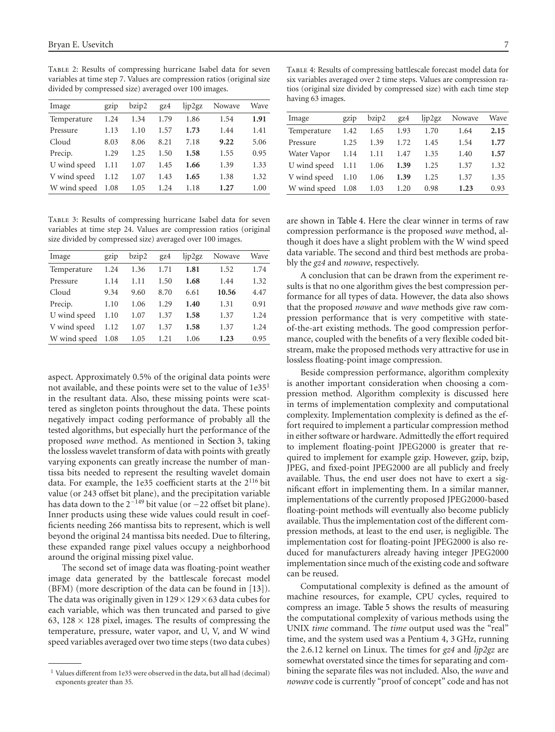<span id="page-6-0"></span>Table 2: Results of compressing hurricane Isabel data for seven variables at time step 7. Values are compression ratios (original size divided by compressed size) averaged over 100 images.

| Image        | gzip | bzip2 | gz4  | lip2gz | Nowave | Wave |
|--------------|------|-------|------|--------|--------|------|
| Temperature  | 1.24 | 1.34  | 1.79 | 1.86   | 1.54   | 1.91 |
| Pressure     | 1.13 | 1.10  | 1.57 | 1.73   | 1.44   | 1.41 |
| Cloud        | 8.03 | 8.06  | 8.21 | 7.18   | 9.22   | 5.06 |
| Precip.      | 1.29 | 1.25  | 1.50 | 1.58   | 1.55   | 0.95 |
| U wind speed | 1.11 | 1.07  | 1.45 | 1.66   | 1.39   | 1.33 |
| V wind speed | 1.12 | 1.07  | 1.43 | 1.65   | 1.38   | 1.32 |
| W wind speed | 1.08 | 1.05  | 1.24 | 1.18   | 1.27   | 1.00 |

<span id="page-6-1"></span>Table 3: Results of compressing hurricane Isabel data for seven variables at time step 24. Values are compression ratios (original size divided by compressed size) averaged over 100 images.

| Image        | gzip | bzip2 | gz4  | lip2gz | Nowave | Wave |
|--------------|------|-------|------|--------|--------|------|
| Temperature  | 1.24 | 1.36  | 1.71 | 1.81   | 1.52   | 1.74 |
| Pressure     | 1.14 | 1.11  | 1.50 | 1.68   | 1.44   | 1.32 |
| Cloud        | 9.34 | 9.60  | 8.70 | 6.61   | 10.56  | 4.47 |
| Precip.      | 1.10 | 1.06  | 1.29 | 1.40   | 1.31   | 0.91 |
| U wind speed | 1.10 | 1.07  | 1.37 | 1.58   | 1.37   | 1.24 |
| V wind speed | 1.12 | 1.07  | 1.37 | 1.58   | 1.37   | 1.24 |
| W wind speed | 1.08 | 1.05  | 1.21 | 1.06   | 1.23   | 0.95 |

aspect. Approximately 0.5% of the original data points were not available, and these points were set to the value of  $1e35<sup>1</sup>$ in the resultant data. Also, these missing points were scattered as singleton points throughout the data. These points negatively impact coding performance of probably all the tested algorithms, but especially hurt the performance of the proposed *wave* method. As mentioned in [Section 3,](#page-2-1) taking the lossless wavelet transform of data with points with greatly varying exponents can greatly increase the number of mantissa bits needed to represent the resulting wavelet domain data. For example, the 1e35 coefficient starts at the 2116 bit value (or 243 offset bit plane), and the precipitation variable has data down to the  $2^{-149}$  bit value (or  $-22$  offset bit plane). Inner products using these wide values could result in coefficients needing 266 mantissa bits to represent, which is well beyond the original 24 mantissa bits needed. Due to filtering, these expanded range pixel values occupy a neighborhood around the original missing pixel value.

The second set of image data was floating-point weather image data generated by the battlescale forecast model (BFM) (more description of the data can be found in [\[13](#page-7-13)]). The data was originally given in  $129 \times 129 \times 63$  data cubes for each variable, which was then truncated and parsed to give 63, 128  $\times$  128 pixel, images. The results of compressing the temperature, pressure, water vapor, and U, V, and W wind speed variables averaged over two time steps (two data cubes)

<span id="page-6-2"></span>Table 4: Results of compressing battlescale forecast model data for six variables averaged over 2 time steps. Values are compression ratios (original size divided by compressed size) with each time step having 63 images.

| Image        | gzip | bzip2 | gz4  | lip2gz | Nowave | Wave |
|--------------|------|-------|------|--------|--------|------|
| Temperature  | 1.42 | 1.65  | 1.93 | 1.70   | 1.64   | 2.15 |
| Pressure     | 1.25 | 1.39  | 1.72 | 1.45   | 1.54   | 1.77 |
| Water Vapor  | 1.14 | 1.11  | 1.47 | 1.35   | 1.40   | 1.57 |
| U wind speed | 1.11 | 1.06  | 1.39 | 1.25   | 1.37   | 1.32 |
| V wind speed | 1.10 | 1.06  | 1.39 | 1.25   | 1.37   | 1.35 |
| W wind speed | 1.08 | 1.03  | 1.20 | 0.98   | 1.23   | 0.93 |

are shown in [Table 4.](#page-6-2) Here the clear winner in terms of raw compression performance is the proposed *wave* method, although it does have a slight problem with the W wind speed data variable. The second and third best methods are probably the *gz4* and *nowave*, respectively.

A conclusion that can be drawn from the experiment results is that no one algorithm gives the best compression performance for all types of data. However, the data also shows that the proposed *nowave* and *wave* methods give raw compression performance that is very competitive with stateof-the-art existing methods. The good compression performance, coupled with the benefits of a very flexible coded bitstream, make the proposed methods very attractive for use in lossless floating-point image compression.

Beside compression performance, algorithm complexity is another important consideration when choosing a compression method. Algorithm complexity is discussed here in terms of implementation complexity and computational complexity. Implementation complexity is defined as the effort required to implement a particular compression method in either software or hardware. Admittedly the effort required to implement floating-point JPEG2000 is greater that required to implement for example gzip. However, gzip, bzip, JPEG, and fixed-point JPEG2000 are all publicly and freely available. Thus, the end user does not have to exert a significant effort in implementing them. In a similar manner, implementations of the currently proposed JPEG2000-based floating-point methods will eventually also become publicly available. Thus the implementation cost of the different compression methods, at least to the end user, is negligible. The implementation cost for floating-point JPEG2000 is also reduced for manufacturers already having integer JPEG2000 implementation since much of the existing code and software can be reused.

Computational complexity is defined as the amount of machine resources, for example, CPU cycles, required to compress an image. [Table 5](#page-7-14) shows the results of measuring the computational complexity of various methods using the UNIX *time* command. The *time* output used was the "real" time, and the system used was a Pentium 4, 3 GHz, running the 2.6.12 kernel on Linux. The times for *gz4* and *ljp2gz* are somewhat overstated since the times for separating and combining the separate files was not included. Also, the *wave* and *nowave* code is currently "proof of concept" code and has not

<sup>&</sup>lt;sup>1</sup> Values different from 1e35 were observed in the data, but all had (decimal) exponents greater than 35.